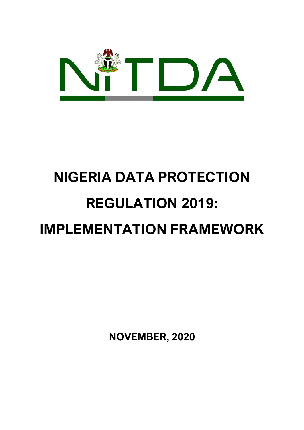

# **NIGERIA DATA PROTECTION REGULATION 2019: IMPLEMENTATION FRAMEWORK**

**NOVEMBER, 2020**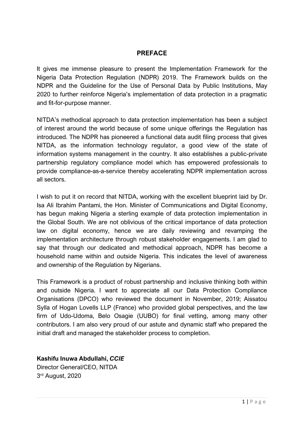## **PREFACE**

It gives me immense pleasure to present the Implementation Framework for the Nigeria Data Protection Regulation (NDPR) 2019. The Framework builds on the NDPR and the Guideline for the Use of Personal Data by Public Institutions, May 2020 to further reinforce Nigeria's implementation of data protection in a pragmatic and fit-for-purpose manner.

NITDA's methodical approach to data protection implementation has been a subject of interest around the world because of some unique offerings the Regulation has introduced. The NDPR has pioneered a functional data audit filing process that gives NITDA, as the information technology regulator, a good view of the state of information systems management in the country. It also establishes a public-private partnership regulatory compliance model which has empowered professionals to provide compliance-as-a-service thereby accelerating NDPR implementation across all sectors.

I wish to put it on record that NITDA, working with the excellent blueprint laid by Dr. Isa Ali Ibrahim Pantami, the Hon. Minister of Communications and Digital Economy, has begun making Nigeria a sterling example of data protection implementation in the Global South. We are not oblivious of the critical importance of data protection law on digital economy, hence we are daily reviewing and revamping the implementation architecture through robust stakeholder engagements. I am glad to say that through our dedicated and methodical approach, NDPR has become a household name within and outside Nigeria. This indicates the level of awareness and ownership of the Regulation by Nigerians.

This Framework is a product of robust partnership and inclusive thinking both within and outside Nigeria. I want to appreciate all our Data Protection Compliance Organisations (DPCO) who reviewed the document in November, 2019; Aissatou Sylla of Hogan Lovells LLP (France) who provided global perspectives, and the law firm of Udo-Udoma, Belo Osagie (UUBO) for final vetting, among many other contributors. I am also very proud of our astute and dynamic staff who prepared the initial draft and managed the stakeholder process to completion.

# **Kashifu Inuwa Abdullahi,** *CCIE*

Director General/CEO, NITDA 3 rd August, 2020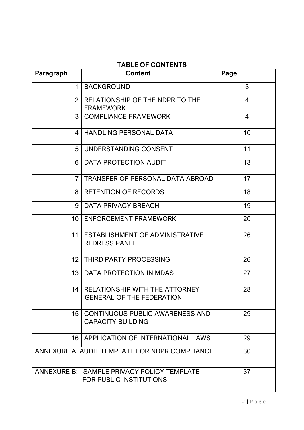| Paragraph       | <b>Content</b>                                                               | Page           |
|-----------------|------------------------------------------------------------------------------|----------------|
| $\mathbf 1$     | <b>BACKGROUND</b>                                                            | 3              |
| $\overline{2}$  | RELATIONSHIP OF THE NDPR TO THE<br><b>FRAMEWORK</b>                          | 4              |
| 3               | <b>COMPLIANCE FRAMEWORK</b>                                                  | $\overline{4}$ |
| 4               | <b>HANDLING PERSONAL DATA</b>                                                | 10             |
| 5               | UNDERSTANDING CONSENT                                                        | 11             |
| 6               | DATA PROTECTION AUDIT                                                        | 13             |
| $7^{\circ}$     | TRANSFER OF PERSONAL DATA ABROAD                                             | 17             |
| 8               | <b>RETENTION OF RECORDS</b>                                                  | 18             |
| 9               | <b>DATA PRIVACY BREACH</b>                                                   | 19             |
| 10              | <b>ENFORCEMENT FRAMEWORK</b>                                                 | 20             |
| 11              | <b>ESTABLISHMENT OF ADMINISTRATIVE</b><br><b>REDRESS PANEL</b>               | 26             |
| 12 <sup>2</sup> | THIRD PARTY PROCESSING                                                       | 26             |
| 13              | DATA PROTECTION IN MDAS                                                      | 27             |
| 14              | <b>RELATIONSHIP WITH THE ATTORNEY-</b><br><b>GENERAL OF THE FEDERATION</b>   | 28             |
| 15              | <b>CONTINUOUS PUBLIC AWARENESS AND</b><br><b>CAPACITY BUILDING</b>           | 29             |
| 16 I            | APPLICATION OF INTERNATIONAL LAWS                                            | 29             |
|                 | ANNEXURE A: AUDIT TEMPLATE FOR NDPR COMPLIANCE                               | 30             |
|                 | ANNEXURE B: SAMPLE PRIVACY POLICY TEMPLATE<br><b>FOR PUBLIC INSTITUTIONS</b> | 37             |

# **TABLE OF CONTENTS**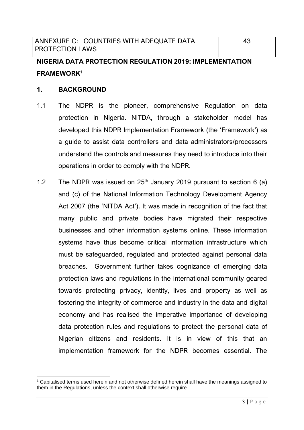# **NIGERIA DATA PROTECTION REGULATION 2019: IMPLEMENTATION FRAMEWORK<sup>1</sup>**

# **1. BACKGROUND**

- 1.1 The NDPR is the pioneer, comprehensive Regulation on data protection in Nigeria. NITDA, through a stakeholder model has developed this NDPR Implementation Framework (the 'Framework') as a guide to assist data controllers and data administrators/processors understand the controls and measures they need to introduce into their operations in order to comply with the NDPR.
- 1.2 The NDPR was issued on  $25<sup>th</sup>$  January 2019 pursuant to section 6 (a) and (c) of the National Information Technology Development Agency Act 2007 (the 'NITDA Act'). It was made in recognition of the fact that many public and private bodies have migrated their respective businesses and other information systems online. These information systems have thus become critical information infrastructure which must be safeguarded, regulated and protected against personal data breaches. Government further takes cognizance of emerging data protection laws and regulations in the international community geared towards protecting privacy, identity, lives and property as well as fostering the integrity of commerce and industry in the data and digital economy and has realised the imperative importance of developing data protection rules and regulations to protect the personal data of Nigerian citizens and residents. It is in view of this that an implementation framework for the NDPR becomes essential. The

<sup>&</sup>lt;sup>1</sup> Capitalised terms used herein and not otherwise defined herein shall have the meanings assigned to them in the Regulations, unless the context shall otherwise require.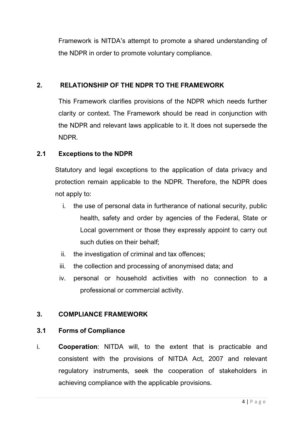Framework is NITDA's attempt to promote a shared understanding of the NDPR in order to promote voluntary compliance.

# **2. RELATIONSHIP OF THE NDPR TO THE FRAMEWORK**

This Framework clarifies provisions of the NDPR which needs further clarity or context. The Framework should be read in conjunction with the NDPR and relevant laws applicable to it. It does not supersede the NDPR.

# **2.1 Exceptions to the NDPR**

Statutory and legal exceptions to the application of data privacy and protection remain applicable to the NDPR. Therefore, the NDPR does not apply to:

- i. the use of personal data in furtherance of national security, public health, safety and order by agencies of the Federal, State or Local government or those they expressly appoint to carry out such duties on their behalf;
- ii. the investigation of criminal and tax offences;
- iii. the collection and processing of anonymised data; and
- iv. personal or household activities with no connection to a professional or commercial activity.

# **3. COMPLIANCE FRAMEWORK**

# **3.1 Forms of Compliance**

i. **Cooperation**: NITDA will, to the extent that is practicable and consistent with the provisions of NITDA Act, 2007 and relevant regulatory instruments, seek the cooperation of stakeholders in achieving compliance with the applicable provisions.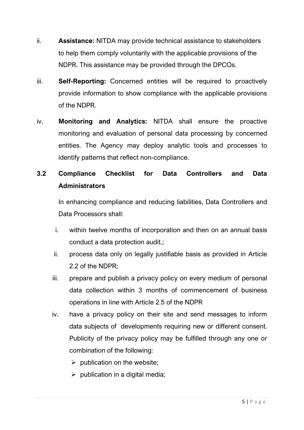- ii. **Assistance:** NITDA may provide technical assistance to stakeholders to help them comply voluntarily with the applicable provisions of the NDPR. This assistance may be provided through the DPCOs.
- iii. **Self-Reporting:** Concerned entities will be required to proactively provide information to show compliance with the applicable provisions of the NDPR.
- iv. **Monitoring and Analytics:** NITDA shall ensure the proactive monitoring and evaluation of personal data processing by concerned entities. The Agency may deploy analytic tools and processes to identify patterns that reflect non-compliance.

# **3.2 Compliance Checklist for Data Controllers and Data Administrators**

In enhancing compliance and reducing liabilities, Data Controllers and Data Processors shall:

- i. within twelve months of incorporation and then on an annual basis conduct a data protection audit.;
- ii. process data only on legally justifiable basis as provided in Article 2.2 of the NDPR;
- iii. prepare and publish a privacy policy on every medium of personal data collection within 3 months of commencement of business operations in line with Article 2.5 of the NDPR
- iv. have a privacy policy on their site and send messages to inform data subjects of developments requiring new or different consent. Publicity of the privacy policy may be fulfilled through any one or combination of the following:
	- $\triangleright$  publication on the website;
	- $\triangleright$  publication in a digital media;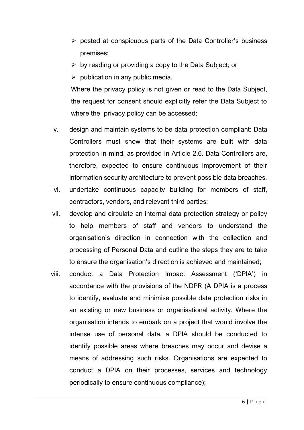- ➢ posted at conspicuous parts of the Data Controller's business premises;
- $\triangleright$  by reading or providing a copy to the Data Subject; or
- $\triangleright$  publication in any public media.

Where the privacy policy is not given or read to the Data Subject, the request for consent should explicitly refer the Data Subject to where the privacy policy can be accessed;

- v. design and maintain systems to be data protection compliant: Data Controllers must show that their systems are built with data protection in mind, as provided in Article 2.6. Data Controllers are, therefore, expected to ensure continuous improvement of their information security architecture to prevent possible data breaches.
- vi. undertake continuous capacity building for members of staff, contractors, vendors, and relevant third parties;
- vii. develop and circulate an internal data protection strategy or policy to help members of staff and vendors to understand the organisation's direction in connection with the collection and processing of Personal Data and outline the steps they are to take to ensure the organisation's direction is achieved and maintained;
- viii. conduct a Data Protection Impact Assessment ('DPIA') in accordance with the provisions of the NDPR (A DPIA is a process to identify, evaluate and minimise possible data protection risks in an existing or new business or organisational activity. Where the organisation intends to embark on a project that would involve the intense use of personal data, a DPIA should be conducted to identify possible areas where breaches may occur and devise a means of addressing such risks. Organisations are expected to conduct a DPIA on their processes, services and technology periodically to ensure continuous compliance);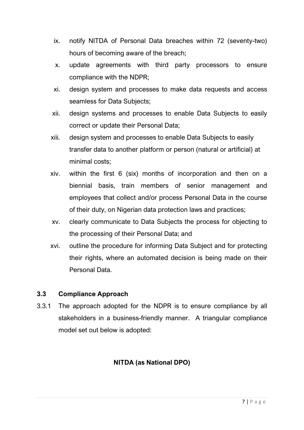- ix. notify NITDA of Personal Data breaches within 72 (seventy-two) hours of becoming aware of the breach;
- x. update agreements with third party processors to ensure compliance with the NDPR;
- xi. design system and processes to make data requests and access seamless for Data Subjects;
- xii. design systems and processes to enable Data Subjects to easily correct or update their Personal Data;
- xiii. design system and processes to enable Data Subjects to easily transfer data to another platform or person (natural or artificial) at minimal costs;
- xiv. within the first 6 (six) months of incorporation and then on a biennial basis, train members of senior management and employees that collect and/or process Personal Data in the course of their duty, on Nigerian data protection laws and practices;
- xv. clearly communicate to Data Subjects the process for objecting to the processing of their Personal Data; and
- xvi. outline the procedure for informing Data Subject and for protecting their rights, where an automated decision is being made on their Personal Data.

# **3.3 Compliance Approach**

3.3.1 The approach adopted for the NDPR is to ensure compliance by all stakeholders in a business-friendly manner. A triangular compliance model set out below is adopted:

# **NITDA (as National DPO)**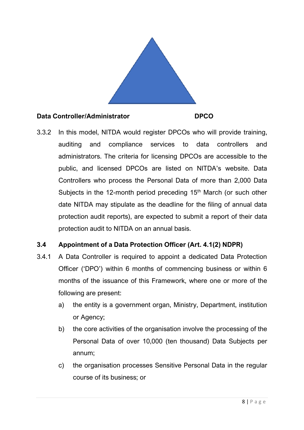

# **Data Controller/Administrator DPCO**

3.3.2 In this model, NITDA would register DPCOs who will provide training, auditing and compliance services to data controllers and administrators. The criteria for licensing DPCOs are accessible to the public, and licensed DPCOs are listed on NITDA's website. Data Controllers who process the Personal Data of more than 2,000 Data Subjects in the 12-month period preceding  $15<sup>th</sup>$  March (or such other date NITDA may stipulate as the deadline for the filing of annual data protection audit reports), are expected to submit a report of their data protection audit to NITDA on an annual basis.

# **3.4 Appointment of a Data Protection Officer (Art. 4.1(2) NDPR)**

- 3.4.1 A Data Controller is required to appoint a dedicated Data Protection Officer ('DPO') within 6 months of commencing business or within 6 months of the issuance of this Framework, where one or more of the following are present:
	- a) the entity is a government organ, Ministry, Department, institution or Agency;
	- b) the core activities of the organisation involve the processing of the Personal Data of over 10,000 (ten thousand) Data Subjects per annum;
	- c) the organisation processes Sensitive Personal Data in the regular course of its business; or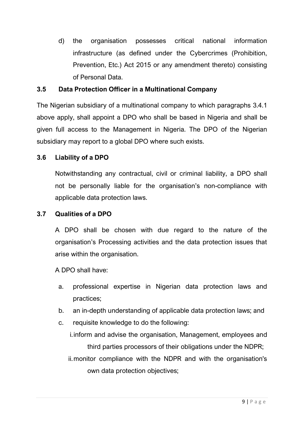d) the organisation possesses critical national information infrastructure (as defined under the Cybercrimes (Prohibition, Prevention, Etc.) Act 2015 or any amendment thereto) consisting of Personal Data.

# **3.5 Data Protection Officer in a Multinational Company**

The Nigerian subsidiary of a multinational company to which paragraphs 3.4.1 above apply, shall appoint a DPO who shall be based in Nigeria and shall be given full access to the Management in Nigeria. The DPO of the Nigerian subsidiary may report to a global DPO where such exists.

# **3.6 Liability of a DPO**

Notwithstanding any contractual, civil or criminal liability, a DPO shall not be personally liable for the organisation's non-compliance with applicable data protection laws.

# **3.7 Qualities of a DPO**

A DPO shall be chosen with due regard to the nature of the organisation's Processing activities and the data protection issues that arise within the organisation.

A DPO shall have:

- a. professional expertise in Nigerian data protection laws and practices;
- b. an in-depth understanding of applicable data protection laws; and
- c. requisite knowledge to do the following:
	- i.inform and advise the organisation, Management, employees and third parties processors of their obligations under the NDPR;
	- ii.monitor compliance with the NDPR and with the organisation's own data protection objectives;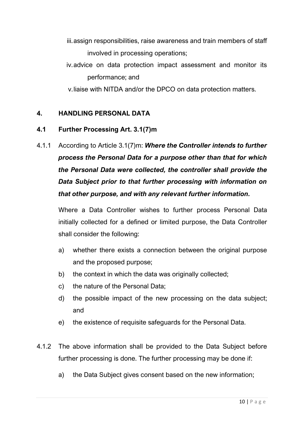- iii.assign responsibilities, raise awareness and train members of staff involved in processing operations;
- iv.advice on data protection impact assessment and monitor its performance; and

v.liaise with NITDA and/or the DPCO on data protection matters.

# **4. HANDLING PERSONAL DATA**

# **4.1 Further Processing Art. 3.1(7)m**

4.1.1 According to Article 3.1(7)m: *Where the Controller intends to further process the Personal Data for a purpose other than that for which the Personal Data were collected, the controller shall provide the Data Subject prior to that further processing with information on that other purpose, and with any relevant further information.*

Where a Data Controller wishes to further process Personal Data initially collected for a defined or limited purpose, the Data Controller shall consider the following:

- a) whether there exists a connection between the original purpose and the proposed purpose;
- b) the context in which the data was originally collected;
- c) the nature of the Personal Data;
- d) the possible impact of the new processing on the data subject; and
- e) the existence of requisite safeguards for the Personal Data.
- 4.1.2 The above information shall be provided to the Data Subject before further processing is done. The further processing may be done if:
	- a) the Data Subject gives consent based on the new information;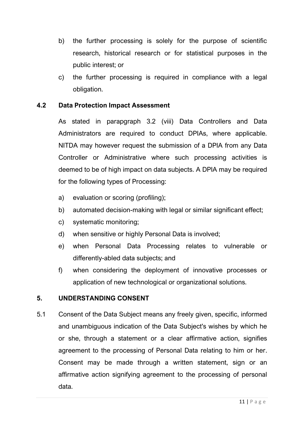- b) the further processing is solely for the purpose of scientific research, historical research or for statistical purposes in the public interest; or
- c) the further processing is required in compliance with a legal obligation.

# **4.2 Data Protection Impact Assessment**

As stated in parapgraph 3.2 (viii) Data Controllers and Data Administrators are required to conduct DPIAs, where applicable. NITDA may however request the submission of a DPIA from any Data Controller or Administrative where such processing activities is deemed to be of high impact on data subjects. A DPIA may be required for the following types of Processing:

- a) evaluation or scoring (profiling);
- b) automated decision-making with legal or similar significant effect;
- c) systematic monitoring;
- d) when sensitive or highly Personal Data is involved;
- e) when Personal Data Processing relates to vulnerable or differently-abled data subjects; and
- f) when considering the deployment of innovative processes or application of new technological or organizational solutions.

# **5. UNDERSTANDING CONSENT**

5.1 Consent of the Data Subject means any freely given, specific, informed and unambiguous indication of the Data Subject's wishes by which he or she, through a statement or a clear affirmative action, signifies agreement to the processing of Personal Data relating to him or her. Consent may be made through a written statement, sign or an affirmative action signifying agreement to the processing of personal data.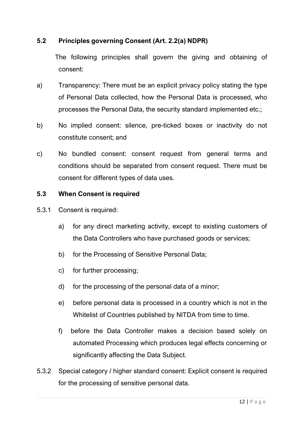# **5.2 Principles governing Consent (Art. 2.2(a) NDPR)**

The following principles shall govern the giving and obtaining of consent:

- a) Transparency: There must be an explicit privacy policy stating the type of Personal Data collected, how the Personal Data is processed, who processes the Personal Data, the security standard implemented etc.;
- b) No implied consent: silence, pre-ticked boxes or inactivity do not constitute consent; and
- c) No bundled consent: consent request from general terms and conditions should be separated from consent request. There must be consent for different types of data uses.

# **5.3 When Consent is required**

- 5.3.1 Consent is required:
	- a) for any direct marketing activity, except to existing customers of the Data Controllers who have purchased goods or services;
	- b) for the Processing of Sensitive Personal Data;
	- c) for further processing;
	- d) for the processing of the personal data of a minor;
	- e) before personal data is processed in a country which is not in the Whitelist of Countries published by NITDA from time to time.
	- f) before the Data Controller makes a decision based solely on automated Processing which produces legal effects concerning or significantly affecting the Data Subject.
- 5.3.2 Special category / higher standard consent: Explicit consent is required for the processing of sensitive personal data.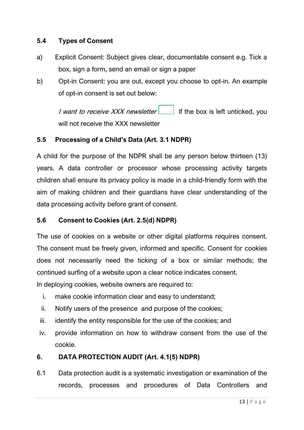# **5.4 Types of Consent**

- a) Explicit Consent: Subject gives clear, documentable consent e.g. Tick a box, sign a form, send an email or sign a paper
- b) Opt-in Consent: you are out, except you choose to opt-in. An example of opt-in consent is set out below:

I want to receive XXX newsletter  $\Box$  If the box is left unticked, you will not receive the XXX newsletter

# **5.5 Processing of a Child's Data (Art. 3.1 NDPR)**

A child for the purpose of the NDPR shall be any person below thirteen (13) years. A data controller or processor whose processing activity targets children shall ensure its privacy policy is made in a child-friendly form with the aim of making children and their guardians have clear understanding of the data processing activity before grant of consent.

# **5.6 Consent to Cookies (Art. 2.5(d) NDPR)**

The use of cookies on a website or other digital platforms requires consent. The consent must be freely given, informed and specific. Consent for cookies does not necessarily need the ticking of a box or similar methods; the continued surfing of a website upon a clear notice indicates consent.

In deploying cookies, website owners are required to:

- i. make cookie information clear and easy to understand;
- ii. Notify users of the presence and purpose of the cookies;
- iii. identify the entity responsible for the use of the cookies; and
- iv. provide information on how to withdraw consent from the use of the cookie.

# **6. DATA PROTECTION AUDIT (Art. 4.1(5) NDPR)**

6.1 Data protection audit is a systematic investigation or examination of the records, processes and procedures of Data Controllers and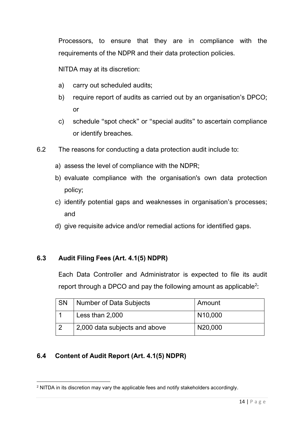Processors, to ensure that they are in compliance with the requirements of the NDPR and their data protection policies.

NITDA may at its discretion:

- a) carry out scheduled audits;
- b) require report of audits as carried out by an organisation's DPCO; or
- c) schedule "spot check" or "special audits" to ascertain compliance or identify breaches.
- 6.2 The reasons for conducting a data protection audit include to:
	- a) assess the level of compliance with the NDPR;
	- b) evaluate compliance with the organisation's own data protection policy;
	- c) identify potential gaps and weaknesses in organisation's processes; and
	- d) give requisite advice and/or remedial actions for identified gaps.

# **6.3 Audit Filing Fees (Art. 4.1(5) NDPR)**

Each Data Controller and Administrator is expected to file its audit report through a DPCO and pay the following amount as applicable<sup>2</sup>:

| SN | Number of Data Subjects       | Amount  |
|----|-------------------------------|---------|
|    | Less than 2,000               | N10,000 |
|    | 2,000 data subjects and above | N20,000 |

# **6.4 Content of Audit Report (Art. 4.1(5) NDPR)**

<sup>&</sup>lt;sup>2</sup> NITDA in its discretion may vary the applicable fees and notify stakeholders accordingly.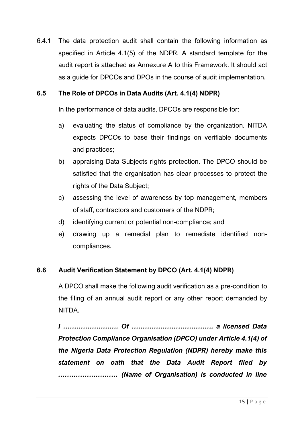6.4.1 The data protection audit shall contain the following information as specified in Article 4.1(5) of the NDPR. A standard template for the audit report is attached as Annexure A to this Framework. It should act as a guide for DPCOs and DPOs in the course of audit implementation.

# **6.5 The Role of DPCOs in Data Audits (Art. 4.1(4) NDPR)**

In the performance of data audits, DPCOs are responsible for:

- a) evaluating the status of compliance by the organization. NITDA expects DPCOs to base their findings on verifiable documents and practices;
- b) appraising Data Subjects rights protection. The DPCO should be satisfied that the organisation has clear processes to protect the rights of the Data Subject;
- c) assessing the level of awareness by top management, members of staff, contractors and customers of the NDPR;
- d) identifying current or potential non-compliance; and
- e) drawing up a remedial plan to remediate identified noncompliances.

# **6.6 Audit Verification Statement by DPCO (Art. 4.1(4) NDPR)**

A DPCO shall make the following audit verification as a pre-condition to the filing of an annual audit report or any other report demanded by NITDA.

*I ……………………. Of ………………………………. a licensed Data Protection Compliance Organisation (DPCO) under Article 4.1(4) of the Nigeria Data Protection Regulation (NDPR) hereby make this statement on oath that the Data Audit Report filed by ……………………… (Name of Organisation) is conducted in line*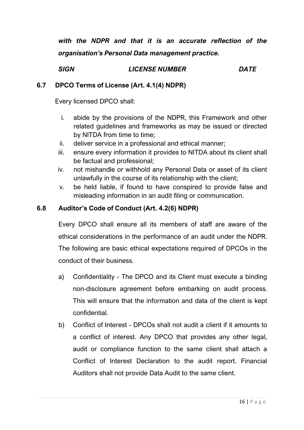*with the NDPR and that it is an accurate reflection of the organisation's Personal Data management practice.* 

*SIGN LICENSE NUMBER DATE*

# **6.7 DPCO Terms of License (Art. 4.1(4) NDPR)**

Every licensed DPCO shall:

- i. abide by the provisions of the NDPR, this Framework and other related guidelines and frameworks as may be issued or directed by NITDA from time to time;
- ii. deliver service in a professional and ethical manner;
- iii. ensure every information it provides to NITDA about its client shall be factual and professional;
- iv. not mishandle or withhold any Personal Data or asset of its client unlawfully in the course of its relationship with the client;
- v. be held liable, if found to have conspired to provide false and misleading information in an audit filing or communication.

# **6.8 Auditor's Code of Conduct (Art. 4.2(6) NDPR)**

Every DPCO shall ensure all its members of staff are aware of the ethical considerations in the performance of an audit under the NDPR. The following are basic ethical expectations required of DPCOs in the conduct of their business.

- a) Confidentiality The DPCO and its Client must execute a binding non-disclosure agreement before embarking on audit process. This will ensure that the information and data of the client is kept confidential.
- b) Conflict of Interest DPCOs shall not audit a client if it amounts to a conflict of interest. Any DPCO that provides any other legal, audit or compliance function to the same client shall attach a Conflict of Interest Declaration to the audit report. Financial Auditors shall not provide Data Audit to the same client.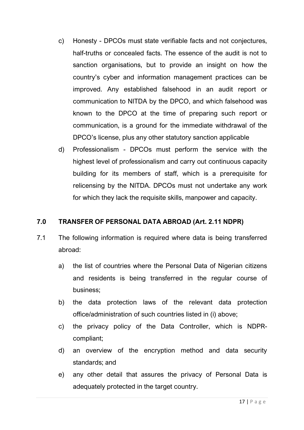- c) Honesty DPCOs must state verifiable facts and not conjectures, half-truths or concealed facts. The essence of the audit is not to sanction organisations, but to provide an insight on how the country's cyber and information management practices can be improved. Any established falsehood in an audit report or communication to NITDA by the DPCO, and which falsehood was known to the DPCO at the time of preparing such report or communication, is a ground for the immediate withdrawal of the DPCO's license, plus any other statutory sanction applicable
- d) Professionalism DPCOs must perform the service with the highest level of professionalism and carry out continuous capacity building for its members of staff, which is a prerequisite for relicensing by the NITDA. DPCOs must not undertake any work for which they lack the requisite skills, manpower and capacity.

# **7.0 TRANSFER OF PERSONAL DATA ABROAD (Art. 2.11 NDPR)**

- 7.1 The following information is required where data is being transferred abroad:
	- a) the list of countries where the Personal Data of Nigerian citizens and residents is being transferred in the regular course of business;
	- b) the data protection laws of the relevant data protection office/administration of such countries listed in (i) above;
	- c) the privacy policy of the Data Controller, which is NDPRcompliant;
	- d) an overview of the encryption method and data security standards; and
	- e) any other detail that assures the privacy of Personal Data is adequately protected in the target country.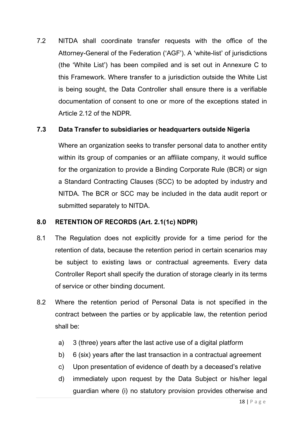7.2 NITDA shall coordinate transfer requests with the office of the Attorney-General of the Federation ('AGF'). A 'white-list' of jurisdictions (the 'White List') has been compiled and is set out in Annexure C to this Framework. Where transfer to a jurisdiction outside the White List is being sought, the Data Controller shall ensure there is a verifiable documentation of consent to one or more of the exceptions stated in Article 2.12 of the NDPR.

# **7.3 Data Transfer to subsidiaries or headquarters outside Nigeria**

Where an organization seeks to transfer personal data to another entity within its group of companies or an affiliate company, it would suffice for the organization to provide a Binding Corporate Rule (BCR) or sign a Standard Contracting Clauses (SCC) to be adopted by industry and NITDA. The BCR or SCC may be included in the data audit report or submitted separately to NITDA.

# **8.0 RETENTION OF RECORDS (Art. 2.1(1c) NDPR)**

- 8.1 The Regulation does not explicitly provide for a time period for the retention of data, because the retention period in certain scenarios may be subject to existing laws or contractual agreements. Every data Controller Report shall specify the duration of storage clearly in its terms of service or other binding document.
- 8.2 Where the retention period of Personal Data is not specified in the contract between the parties or by applicable law, the retention period shall be:
	- a) 3 (three) years after the last active use of a digital platform
	- b) 6 (six) years after the last transaction in a contractual agreement
	- c) Upon presentation of evidence of death by a deceased's relative
	- d) immediately upon request by the Data Subject or his/her legal guardian where (i) no statutory provision provides otherwise and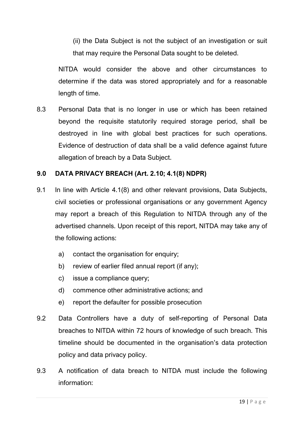(ii) the Data Subject is not the subject of an investigation or suit that may require the Personal Data sought to be deleted.

NITDA would consider the above and other circumstances to determine if the data was stored appropriately and for a reasonable length of time.

8.3 Personal Data that is no longer in use or which has been retained beyond the requisite statutorily required storage period, shall be destroyed in line with global best practices for such operations. Evidence of destruction of data shall be a valid defence against future allegation of breach by a Data Subject.

# **9.0 DATA PRIVACY BREACH (Art. 2.10; 4.1(8) NDPR)**

- 9.1 In line with Article 4.1(8) and other relevant provisions, Data Subjects, civil societies or professional organisations or any government Agency may report a breach of this Regulation to NITDA through any of the advertised channels. Upon receipt of this report, NITDA may take any of the following actions:
	- a) contact the organisation for enquiry;
	- b) review of earlier filed annual report (if any);
	- c) issue a compliance query;
	- d) commence other administrative actions; and
	- e) report the defaulter for possible prosecution
- 9.2 Data Controllers have a duty of self-reporting of Personal Data breaches to NITDA within 72 hours of knowledge of such breach. This timeline should be documented in the organisation's data protection policy and data privacy policy.
- 9.3 A notification of data breach to NITDA must include the following information: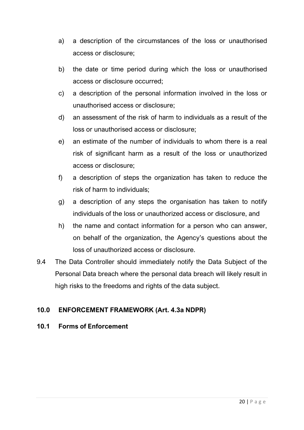- a) a description of the circumstances of the loss or unauthorised access or disclosure;
- b) the date or time period during which the loss or unauthorised access or disclosure occurred;
- c) a description of the personal information involved in the loss or unauthorised access or disclosure;
- d) an assessment of the risk of harm to individuals as a result of the loss or unauthorised access or disclosure;
- e) an estimate of the number of individuals to whom there is a real risk of significant harm as a result of the loss or unauthorized access or disclosure;
- f) a description of steps the organization has taken to reduce the risk of harm to individuals;
- g) a description of any steps the organisation has taken to notify individuals of the loss or unauthorized access or disclosure, and
- h) the name and contact information for a person who can answer, on behalf of the organization, the Agency's questions about the loss of unauthorized access or disclosure.
- 9.4 The Data Controller should immediately notify the Data Subject of the Personal Data breach where the personal data breach will likely result in high risks to the freedoms and rights of the data subject.

# **10.0 ENFORCEMENT FRAMEWORK (Art. 4.3a NDPR)**

# **10.1 Forms of Enforcement**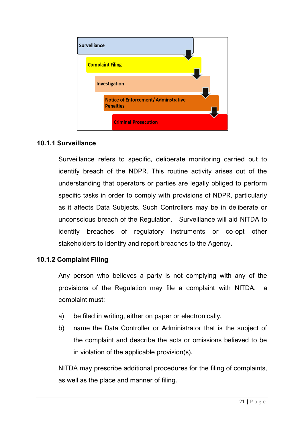

# **10.1.1 Surveillance**

Surveillance refers to specific, deliberate monitoring carried out to identify breach of the NDPR. This routine activity arises out of the understanding that operators or parties are legally obliged to perform specific tasks in order to comply with provisions of NDPR, particularly as it affects Data Subjects. Such Controllers may be in deliberate or unconscious breach of the Regulation. Surveillance will aid NITDA to identify breaches of regulatory instruments or co-opt other stakeholders to identify and report breaches to the Agency**.**

# **10.1.2 Complaint Filing**

Any person who believes a party is not complying with any of the provisions of the Regulation may file a complaint with NITDA. a complaint must:

- a) be filed in writing, either on paper or electronically.
- b) name the Data Controller or Administrator that is the subject of the complaint and describe the acts or omissions believed to be in violation of the applicable provision(s).

NITDA may prescribe additional procedures for the filing of complaints, as well as the place and manner of filing.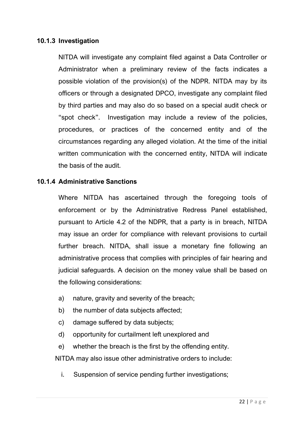# **10.1.3 Investigation**

NITDA will investigate any complaint filed against a Data Controller or Administrator when a preliminary review of the facts indicates a possible violation of the provision(s) of the NDPR. NITDA may by its officers or through a designated DPCO, investigate any complaint filed by third parties and may also do so based on a special audit check or "spot check". Investigation may include a review of the policies, procedures, or practices of the concerned entity and of the circumstances regarding any alleged violation. At the time of the initial written communication with the concerned entity, NITDA will indicate the basis of the audit.

# **10.1.4 Administrative Sanctions**

Where NITDA has ascertained through the foregoing tools of enforcement or by the Administrative Redress Panel established, pursuant to Article 4.2 of the NDPR, that a party is in breach, NITDA may issue an order for compliance with relevant provisions to curtail further breach. NITDA, shall issue a monetary fine following an administrative process that complies with principles of fair hearing and judicial safeguards. A decision on the money value shall be based on the following considerations:

- a) nature, gravity and severity of the breach;
- b) the number of data subjects affected;
- c) damage suffered by data subjects;
- d) opportunity for curtailment left unexplored and
- e) whether the breach is the first by the offending entity.

NITDA may also issue other administrative orders to include:

i. Suspension of service pending further investigations;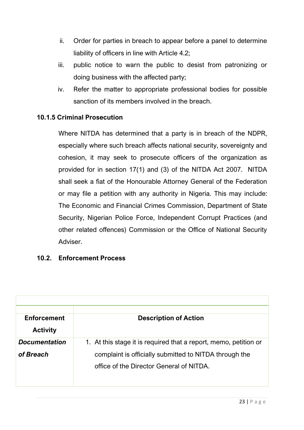- ii. Order for parties in breach to appear before a panel to determine liability of officers in line with Article 4.2;
- iii. public notice to warn the public to desist from patronizing or doing business with the affected party;
- iv. Refer the matter to appropriate professional bodies for possible sanction of its members involved in the breach.

# **10.1.5 Criminal Prosecution**

Where NITDA has determined that a party is in breach of the NDPR, especially where such breach affects national security, sovereignty and cohesion, it may seek to prosecute officers of the organization as provided for in section 17(1) and (3) of the NITDA Act 2007. NITDA shall seek a fiat of the Honourable Attorney General of the Federation or may file a petition with any authority in Nigeria. This may include: The Economic and Financial Crimes Commission, Department of State Security, Nigerian Police Force, Independent Corrupt Practices (and other related offences) Commission or the Office of National Security Adviser.

# **10.2. Enforcement Process**

| <b>Enforcement</b>   | <b>Description of Action</b>                                     |
|----------------------|------------------------------------------------------------------|
| <b>Activity</b>      |                                                                  |
| <b>Documentation</b> | 1. At this stage it is required that a report, memo, petition or |
| of Breach            | complaint is officially submitted to NITDA through the           |
|                      | office of the Director General of NITDA.                         |
|                      |                                                                  |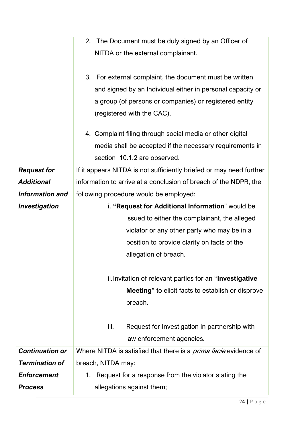|                        | 2. The Document must be duly signed by an Officer of                    |  |  |
|------------------------|-------------------------------------------------------------------------|--|--|
|                        | NITDA or the external complainant.                                      |  |  |
|                        |                                                                         |  |  |
|                        | 3. For external complaint, the document must be written                 |  |  |
|                        | and signed by an Individual either in personal capacity or              |  |  |
|                        | a group (of persons or companies) or registered entity                  |  |  |
|                        | (registered with the CAC).                                              |  |  |
|                        |                                                                         |  |  |
|                        | 4. Complaint filing through social media or other digital               |  |  |
|                        | media shall be accepted if the necessary requirements in                |  |  |
|                        | section 10.1.2 are observed.                                            |  |  |
| <b>Request for</b>     | If it appears NITDA is not sufficiently briefed or may need further     |  |  |
| <b>Additional</b>      | information to arrive at a conclusion of breach of the NDPR, the        |  |  |
| <b>Information and</b> | following procedure would be employed:                                  |  |  |
| Investigation          | i. "Request for Additional Information" would be                        |  |  |
|                        | issued to either the complainant, the alleged                           |  |  |
|                        | violator or any other party who may be in a                             |  |  |
|                        | position to provide clarity on facts of the                             |  |  |
|                        | allegation of breach.                                                   |  |  |
|                        |                                                                         |  |  |
|                        | ii. Invitation of relevant parties for an "Investigative"               |  |  |
|                        | <b>Meeting</b> " to elicit facts to establish or disprove               |  |  |
|                        | breach.                                                                 |  |  |
|                        |                                                                         |  |  |
|                        | iii.<br>Request for Investigation in partnership with                   |  |  |
|                        | law enforcement agencies.                                               |  |  |
| <b>Continuation or</b> | Where NITDA is satisfied that there is a <i>prima facie</i> evidence of |  |  |
| <b>Termination of</b>  | breach, NITDA may:                                                      |  |  |
| <b>Enforcement</b>     | Request for a response from the violator stating the<br>1.              |  |  |
| <b>Process</b>         | allegations against them;                                               |  |  |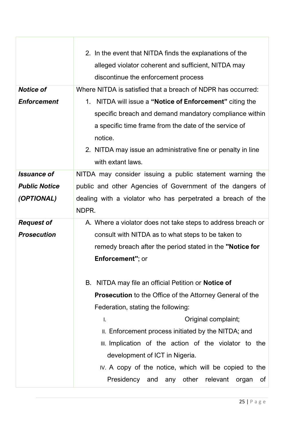|                      | 2. In the event that NITDA finds the explanations of the        |  |  |
|----------------------|-----------------------------------------------------------------|--|--|
|                      | alleged violator coherent and sufficient, NITDA may             |  |  |
|                      | discontinue the enforcement process                             |  |  |
| <b>Notice of</b>     | Where NITDA is satisfied that a breach of NDPR has occurred:    |  |  |
| <b>Enforcement</b>   | 1. NITDA will issue a "Notice of Enforcement" citing the        |  |  |
|                      | specific breach and demand mandatory compliance within          |  |  |
|                      | a specific time frame from the date of the service of           |  |  |
|                      | notice.                                                         |  |  |
|                      | 2. NITDA may issue an administrative fine or penalty in line    |  |  |
|                      | with extant laws.                                               |  |  |
| <b>Issuance of</b>   | NITDA may consider issuing a public statement warning the       |  |  |
| <b>Public Notice</b> | public and other Agencies of Government of the dangers of       |  |  |
| (OPTIONAL)           | dealing with a violator who has perpetrated a breach of the     |  |  |
|                      | NDPR.                                                           |  |  |
| <b>Request of</b>    | A. Where a violator does not take steps to address breach or    |  |  |
| <b>Prosecution</b>   | consult with NITDA as to what steps to be taken to              |  |  |
|                      | remedy breach after the period stated in the "Notice for        |  |  |
|                      | Enforcement"; or                                                |  |  |
|                      |                                                                 |  |  |
|                      | B. NITDA may file an official Petition or <b>Notice of</b>      |  |  |
|                      | <b>Prosecution</b> to the Office of the Attorney General of the |  |  |
|                      | Federation, stating the following:                              |  |  |
|                      | Original complaint;<br>I.                                       |  |  |
|                      | II. Enforcement process initiated by the NITDA; and             |  |  |
|                      | III. Implication of the action of the violator to the           |  |  |
|                      | development of ICT in Nigeria.                                  |  |  |
|                      | IV. A copy of the notice, which will be copied to the           |  |  |
|                      | Presidency and any other relevant organ<br>0f                   |  |  |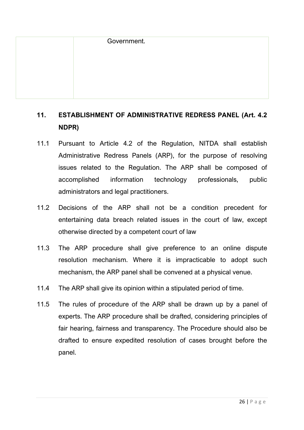# **11. ESTABLISHMENT OF ADMINISTRATIVE REDRESS PANEL (Art. 4.2 NDPR)**

- 11.1 Pursuant to Article 4.2 of the Regulation, NITDA shall establish Administrative Redress Panels (ARP), for the purpose of resolving issues related to the Regulation. The ARP shall be composed of accomplished information technology professionals, public administrators and legal practitioners.
- 11.2 Decisions of the ARP shall not be a condition precedent for entertaining data breach related issues in the court of law, except otherwise directed by a competent court of law
- 11.3 The ARP procedure shall give preference to an online dispute resolution mechanism. Where it is impracticable to adopt such mechanism, the ARP panel shall be convened at a physical venue.
- 11.4 The ARP shall give its opinion within a stipulated period of time.
- 11.5 The rules of procedure of the ARP shall be drawn up by a panel of experts. The ARP procedure shall be drafted, considering principles of fair hearing, fairness and transparency. The Procedure should also be drafted to ensure expedited resolution of cases brought before the panel.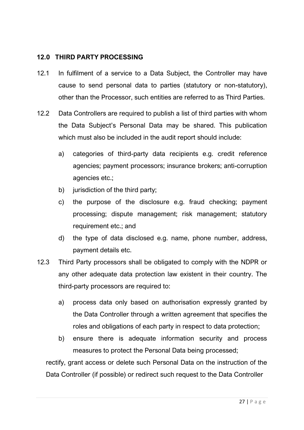# **12.0 THIRD PARTY PROCESSING**

- 12.1 In fulfilment of a service to a Data Subject, the Controller may have cause to send personal data to parties (statutory or non-statutory), other than the Processor, such entities are referred to as Third Parties.
- 12.2 Data Controllers are required to publish a list of third parties with whom the Data Subject's Personal Data may be shared. This publication which must also be included in the audit report should include:
	- a) categories of third-party data recipients e.g. credit reference agencies; payment processors; insurance brokers; anti-corruption agencies etc.;
	- b) jurisdiction of the third party;
	- c) the purpose of the disclosure e.g. fraud checking; payment processing; dispute management; risk management; statutory requirement etc.; and
	- d) the type of data disclosed e.g. name, phone number, address, payment details etc.
- 12.3 Third Party processors shall be obligated to comply with the NDPR or any other adequate data protection law existent in their country. The third-party processors are required to:
	- a) process data only based on authorisation expressly granted by the Data Controller through a written agreement that specifies the roles and obligations of each party in respect to data protection;
	- b) ensure there is adequate information security and process measures to protect the Personal Data being processed;

rectify, grant access or delete such Personal Data on the instruction of the Data Controller (if possible) or redirect such request to the Data Controller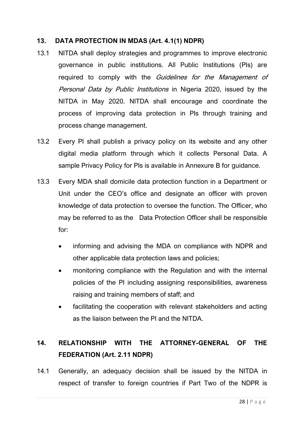# **13. DATA PROTECTION IN MDAS (Art. 4.1(1) NDPR)**

- 13.1 NITDA shall deploy strategies and programmes to improve electronic governance in public institutions. All Public Institutions (PIs) are required to comply with the *Guidelines for the Management of* Personal Data by Public Institutions in Nigeria 2020, issued by the NITDA in May 2020. NITDA shall encourage and coordinate the process of improving data protection in PIs through training and process change management.
- 13.2 Every PI shall publish a privacy policy on its website and any other digital media platform through which it collects Personal Data. A sample Privacy Policy for PIs is available in Annexure B for guidance.
- 13.3 Every MDA shall domicile data protection function in a Department or Unit under the CEO's office and designate an officer with proven knowledge of data protection to oversee the function. The Officer, who may be referred to as the Data Protection Officer shall be responsible for:
	- informing and advising the MDA on compliance with NDPR and other applicable data protection laws and policies;
	- monitoring compliance with the Regulation and with the internal policies of the PI including assigning responsibilities, awareness raising and training members of staff; and
	- facilitating the cooperation with relevant stakeholders and acting as the liaison between the PI and the NITDA.

# **14. RELATIONSHIP WITH THE ATTORNEY-GENERAL OF THE FEDERATION (Art. 2.11 NDPR)**

14.1 Generally, an adequacy decision shall be issued by the NITDA in respect of transfer to foreign countries if Part Two of the NDPR is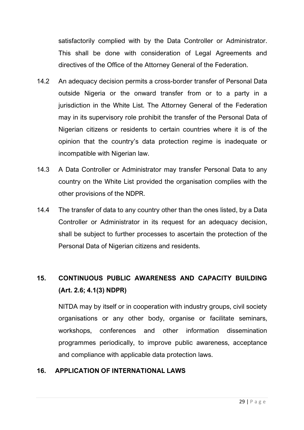satisfactorily complied with by the Data Controller or Administrator. This shall be done with consideration of Legal Agreements and directives of the Office of the Attorney General of the Federation.

- 14.2 An adequacy decision permits a cross-border transfer of Personal Data outside Nigeria or the onward transfer from or to a party in a jurisdiction in the White List. The Attorney General of the Federation may in its supervisory role prohibit the transfer of the Personal Data of Nigerian citizens or residents to certain countries where it is of the opinion that the country's data protection regime is inadequate or incompatible with Nigerian law.
- 14.3 A Data Controller or Administrator may transfer Personal Data to any country on the White List provided the organisation complies with the other provisions of the NDPR.
- 14.4 The transfer of data to any country other than the ones listed, by a Data Controller or Administrator in its request for an adequacy decision, shall be subject to further processes to ascertain the protection of the Personal Data of Nigerian citizens and residents.

# **15. CONTINUOUS PUBLIC AWARENESS AND CAPACITY BUILDING (Art. 2.6; 4.1(3) NDPR)**

NITDA may by itself or in cooperation with industry groups, civil society organisations or any other body, organise or facilitate seminars, workshops, conferences and other information dissemination programmes periodically, to improve public awareness, acceptance and compliance with applicable data protection laws.

# **16. APPLICATION OF INTERNATIONAL LAWS**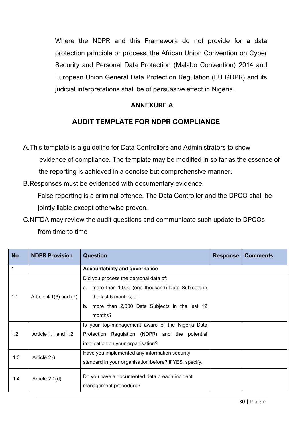Where the NDPR and this Framework do not provide for a data protection principle or process, the African Union Convention on Cyber Security and Personal Data Protection (Malabo Convention) 2014 and European Union General Data Protection Regulation (EU GDPR) and its judicial interpretations shall be of persuasive effect in Nigeria.

# **ANNEXURE A**

# **AUDIT TEMPLATE FOR NDPR COMPLIANCE**

A.This template is a guideline for Data Controllers and Administrators to show evidence of compliance. The template may be modified in so far as the essence of the reporting is achieved in a concise but comprehensive manner.

B.Responses must be evidenced with documentary evidence.

 False reporting is a criminal offence. The Data Controller and the DPCO shall be jointly liable except otherwise proven.

C.NITDA may review the audit questions and communicate such update to DPCOs from time to time

| <b>No</b>   | <b>NDPR Provision</b>      | <b>Question</b>                                                                                                                                                                          | <b>Response</b> | <b>Comments</b> |
|-------------|----------------------------|------------------------------------------------------------------------------------------------------------------------------------------------------------------------------------------|-----------------|-----------------|
| $\mathbf 1$ |                            | <b>Accountability and governance</b>                                                                                                                                                     |                 |                 |
| 1.1         | Article $4.1(6)$ and $(7)$ | Did you process the personal data of:<br>more than 1,000 (one thousand) Data Subjects in<br>a.<br>the last 6 months; or<br>more than 2,000 Data Subjects in the last 12<br>b.<br>months? |                 |                 |
| 1.2         | Article 1.1 and 1.2        | Is your top-management aware of the Nigeria Data<br>Protection Regulation (NDPR) and the potential<br>implication on your organisation?                                                  |                 |                 |
| 1.3         | Article 2.6                | Have you implemented any information security<br>standard in your organisation before? If YES, specify.                                                                                  |                 |                 |
| 1.4         | Article 2.1(d)             | Do you have a documented data breach incident<br>management procedure?                                                                                                                   |                 |                 |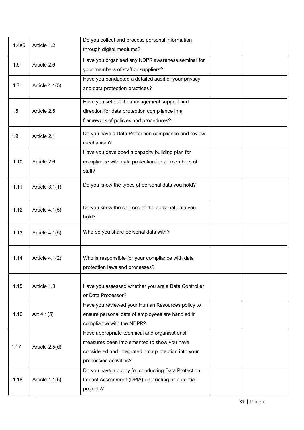|       | Article 1.2    | Do you collect and process personal information     |  |
|-------|----------------|-----------------------------------------------------|--|
| 1.4#5 |                | through digital mediums?                            |  |
| 1.6   | Article 2.6    | Have you organised any NDPR awareness seminar for   |  |
|       |                | your members of staff or suppliers?                 |  |
|       |                | Have you conducted a detailed audit of your privacy |  |
| 1.7   | Article 4.1(5) | and data protection practices?                      |  |
|       |                | Have you set out the management support and         |  |
| 1.8   | Article 2.5    | direction for data protection compliance in a       |  |
|       |                | framework of policies and procedures?               |  |
| 1.9   | Article 2.1    | Do you have a Data Protection compliance and review |  |
|       |                | mechanism?                                          |  |
|       |                | Have you developed a capacity building plan for     |  |
| 1.10  | Article 2.6    | compliance with data protection for all members of  |  |
|       |                | staff?                                              |  |
| 1.11  | Article 3.1(1) | Do you know the types of personal data you hold?    |  |
|       |                |                                                     |  |
|       |                | Do you know the sources of the personal data you    |  |
| 1.12  | Article 4.1(5) | hold?                                               |  |
|       |                |                                                     |  |
| 1.13  | Article 4.1(5) | Who do you share personal data with?                |  |
|       |                |                                                     |  |
| 1.14  | Article 4.1(2) | Who is responsible for your compliance with data    |  |
|       |                | protection laws and processes?                      |  |
|       |                |                                                     |  |
| 1.15  | Article 1.3    | Have you assessed whether you are a Data Controller |  |
|       |                | or Data Processor?                                  |  |
|       |                | Have you reviewed your Human Resources policy to    |  |
| 1.16  | Art $4.1(5)$   | ensure personal data of employees are handled in    |  |
|       |                | compliance with the NDPR?                           |  |
|       |                | Have appropriate technical and organisational       |  |
| 1.17  | Article 2.5(d) | measures been implemented to show you have          |  |
|       |                | considered and integrated data protection into your |  |
|       |                | processing activities?                              |  |
|       |                | Do you have a policy for conducting Data Protection |  |
| 1.18  | Article 4.1(5) | Impact Assessment (DPIA) on existing or potential   |  |
|       |                | projects?                                           |  |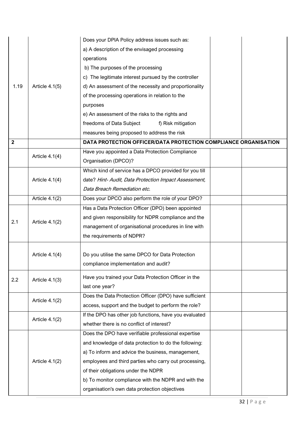|                         |                  | Does your DPIA Policy address issues such as:                   |  |
|-------------------------|------------------|-----------------------------------------------------------------|--|
|                         |                  | a) A description of the envisaged processing                    |  |
|                         |                  | operations                                                      |  |
|                         |                  | b) The purposes of the processing                               |  |
|                         |                  | c) The legitimate interest pursued by the controller            |  |
| 1.19                    | Article 4.1(5)   | d) An assessment of the necessity and proportionality           |  |
|                         |                  | of the processing operations in relation to the                 |  |
|                         |                  | purposes                                                        |  |
|                         |                  | e) An assessment of the risks to the rights and                 |  |
|                         |                  | freedoms of Data Subject<br>f) Risk mitigation                  |  |
|                         |                  | measures being proposed to address the risk                     |  |
| $\overline{\mathbf{2}}$ |                  | DATA PROTECTION OFFICER/DATA PROTECTION COMPLIANCE ORGANISATION |  |
|                         | Article 4.1(4)   | Have you appointed a Data Protection Compliance                 |  |
|                         |                  | Organisation (DPCO)?                                            |  |
|                         |                  | Which kind of service has a DPCO provided for you till          |  |
|                         | Article 4.1(4)   | date? Hint- Audit, Data Protection Impact Assessment,           |  |
|                         |                  | Data Breach Remediation etc.                                    |  |
|                         | Article 4.1(2)   | Does your DPCO also perform the role of your DPO?               |  |
|                         |                  | Has a Data Protection Officer (DPO) been appointed              |  |
| 2.1                     |                  | and given responsibility for NDPR compliance and the            |  |
|                         | Article 4.1(2)   | management of organisational procedures in line with            |  |
|                         |                  | the requirements of NDPR?                                       |  |
|                         |                  |                                                                 |  |
|                         | Article $4.1(4)$ | Do you utilise the same DPCO for Data Protection                |  |
|                         |                  | compliance implementation and audit?                            |  |
|                         |                  | Have you trained your Data Protection Officer in the            |  |
| 2.2                     | Article $4.1(3)$ | last one year?                                                  |  |
|                         |                  | Does the Data Protection Officer (DPO) have sufficient          |  |
|                         | Article 4.1(2)   | access, support and the budget to perform the role?             |  |
|                         |                  | If the DPO has other job functions, have you evaluated          |  |
|                         | Article 4.1(2)   | whether there is no conflict of interest?                       |  |
|                         |                  | Does the DPO have verifiable professional expertise             |  |
|                         |                  | and knowledge of data protection to do the following:           |  |
|                         |                  | a) To inform and advice the business, management,               |  |
|                         | Article $4.1(2)$ | employees and third parties who carry out processing,           |  |
|                         |                  | of their obligations under the NDPR                             |  |
|                         |                  | b) To monitor compliance with the NDPR and with the             |  |
|                         |                  | organisation's own data protection objectives                   |  |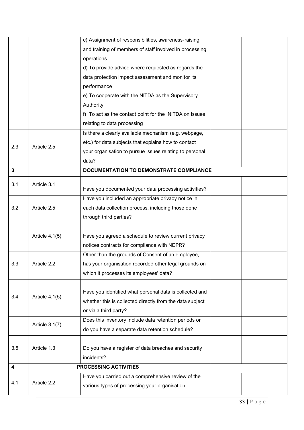|                         |                | c) Assignment of responsibilities, awareness-raising     |  |
|-------------------------|----------------|----------------------------------------------------------|--|
|                         |                | and training of members of staff involved in processing  |  |
|                         |                | operations                                               |  |
|                         |                | d) To provide advice where requested as regards the      |  |
|                         |                | data protection impact assessment and monitor its        |  |
|                         |                | performance                                              |  |
|                         |                | e) To cooperate with the NITDA as the Supervisory        |  |
|                         |                | Authority                                                |  |
|                         |                | f) To act as the contact point for the NITDA on issues   |  |
|                         |                | relating to data processing                              |  |
|                         |                | Is there a clearly available mechanism (e.g. webpage,    |  |
| 2.3                     | Article 2.5    | etc.) for data subjects that explains how to contact     |  |
|                         |                | your organisation to pursue issues relating to personal  |  |
|                         |                | data?                                                    |  |
| $\mathbf{3}$            |                | DOCUMENTATION TO DEMONSTRATE COMPLIANCE                  |  |
| 3.1                     | Article 3.1    |                                                          |  |
|                         |                | Have you documented your data processing activities?     |  |
|                         |                | Have you included an appropriate privacy notice in       |  |
| 3.2                     | Article 2.5    | each data collection process, including those done       |  |
|                         |                | through third parties?                                   |  |
|                         |                |                                                          |  |
|                         | Article 4.1(5) | Have you agreed a schedule to review current privacy     |  |
|                         |                | notices contracts for compliance with NDPR?              |  |
|                         |                | Other than the grounds of Consent of an employee,        |  |
| 3.3                     | Article 2.2    | has your organisation recorded other legal grounds on    |  |
|                         |                | which it processes its employees' data?                  |  |
|                         |                |                                                          |  |
| 3.4                     | Article 4.1(5) | Have you identified what personal data is collected and  |  |
|                         |                | whether this is collected directly from the data subject |  |
|                         |                | or via a third party?                                    |  |
|                         | Article 3.1(7) | Does this inventory include data retention periods or    |  |
|                         |                | do you have a separate data retention schedule?          |  |
|                         |                |                                                          |  |
| 3.5                     | Article 1.3    | Do you have a register of data breaches and security     |  |
|                         |                | incidents?                                               |  |
| $\overline{\mathbf{4}}$ |                | PROCESSING ACTIVITIES                                    |  |
| 4.1                     | Article 2.2    | Have you carried out a comprehensive review of the       |  |
|                         |                | various types of processing your organisation            |  |
|                         |                |                                                          |  |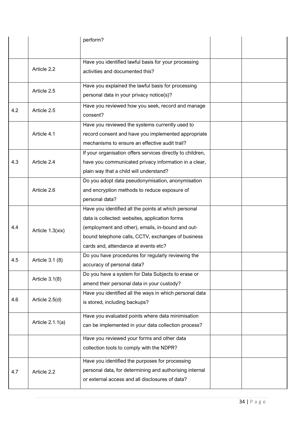|     |                  | perform?                                                   |  |
|-----|------------------|------------------------------------------------------------|--|
|     |                  |                                                            |  |
|     |                  | Have you identified lawful basis for your processing       |  |
|     | Article 2.2      | activities and documented this?                            |  |
|     |                  |                                                            |  |
|     | Article 2.5      | Have you explained the lawful basis for processing         |  |
|     |                  | personal data in your privacy notice(s)?                   |  |
| 4.2 | Article 2.5      | Have you reviewed how you seek, record and manage          |  |
|     |                  | consent?                                                   |  |
|     |                  | Have you reviewed the systems currently used to            |  |
|     | Article 4.1      | record consent and have you implemented appropriate        |  |
|     |                  | mechanisms to ensure an effective audit trail?             |  |
|     |                  | If your organisation offers services directly to children, |  |
| 4.3 | Article 2.4      | have you communicated privacy information in a clear,      |  |
|     |                  | plain way that a child will understand?                    |  |
|     |                  | Do you adopt data pseudonymisation, anonymisation          |  |
|     | Article 2.6      | and encryption methods to reduce exposure of               |  |
|     |                  | personal data?                                             |  |
|     |                  | Have you identified all the points at which personal       |  |
|     |                  | data is collected: websites, application forms             |  |
| 4.4 | Article 1.3(xix) | (employment and other), emails, in-bound and out-          |  |
|     |                  | bound telephone calls, CCTV, exchanges of business         |  |
|     |                  | cards and, attendance at events etc?                       |  |
| 4.5 | Article 3.1 (8)  | Do you have procedures for regularly reviewing the         |  |
|     |                  | accuracy of personal data?                                 |  |
|     | Article $3.1(8)$ | Do you have a system for Data Subjects to erase or         |  |
|     |                  | amend their personal data in your custody?                 |  |
|     |                  | Have you identified all the ways in which personal data    |  |
| 4.6 | Article 2.5(d)   | is stored, including backups?                              |  |
|     |                  | Have you evaluated points where data minimisation          |  |
|     | Article 2.1.1(a) | can be implemented in your data collection process?        |  |
|     |                  | Have you reviewed your forms and other data                |  |
|     |                  | collection tools to comply with the NDPR?                  |  |
|     |                  |                                                            |  |
|     |                  | Have you identified the purposes for processing            |  |
| 4.7 | Article 2.2      | personal data, for determining and authorising internal    |  |
|     |                  | or external access and all disclosures of data?            |  |
|     |                  |                                                            |  |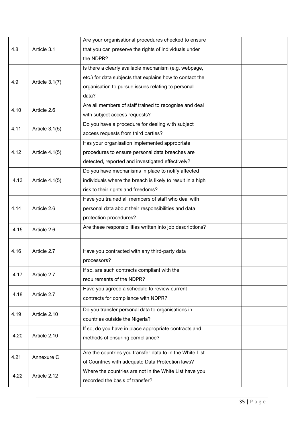|      |                  | Are your organisational procedures checked to ensure       |  |
|------|------------------|------------------------------------------------------------|--|
| 4.8  | Article 3.1      | that you can preserve the rights of individuals under      |  |
|      |                  | the NDPR?                                                  |  |
|      |                  | Is there a clearly available mechanism (e.g. webpage,      |  |
| 4.9  | Article 3.1(7)   | etc.) for data subjects that explains how to contact the   |  |
|      |                  | organisation to pursue issues relating to personal         |  |
|      |                  | data?                                                      |  |
| 4.10 | Article 2.6      | Are all members of staff trained to recognise and deal     |  |
|      |                  | with subject access requests?                              |  |
| 4.11 | Article $3.1(5)$ | Do you have a procedure for dealing with subject           |  |
|      |                  | access requests from third parties?                        |  |
|      |                  | Has your organisation implemented appropriate              |  |
| 4.12 | Article 4.1(5)   | procedures to ensure personal data breaches are            |  |
|      |                  | detected, reported and investigated effectively?           |  |
|      |                  | Do you have mechanisms in place to notify affected         |  |
| 4.13 | Article 4.1(5)   | individuals where the breach is likely to result in a high |  |
|      |                  | risk to their rights and freedoms?                         |  |
|      |                  | Have you trained all members of staff who deal with        |  |
| 4.14 | Article 2.6      | personal data about their responsibilities and data        |  |
|      |                  | protection procedures?                                     |  |
| 4.15 | Article 2.6      | Are these responsibilities written into job descriptions?  |  |
|      |                  |                                                            |  |
| 4.16 | Article 2.7      | Have you contracted with any third-party data              |  |
|      |                  | processors?                                                |  |
| 4.17 | Article 2.7      | If so, are such contracts compliant with the               |  |
|      |                  | requirements of the NDPR?                                  |  |
| 4.18 | Article 2.7      | Have you agreed a schedule to review current               |  |
|      |                  | contracts for compliance with NDPR?                        |  |
| 4.19 | Article 2.10     | Do you transfer personal data to organisations in          |  |
|      |                  | countries outside the Nigeria?                             |  |
|      |                  | If so, do you have in place appropriate contracts and      |  |
| 4.20 | Article 2.10     | methods of ensuring compliance?                            |  |
|      |                  | Are the countries you transfer data to in the White List   |  |
| 4.21 | Annexure C       | of Countries with adequate Data Protection laws?           |  |
| 4.22 |                  | Where the countries are not in the White List have you     |  |
|      | Article 2.12     | recorded the basis of transfer?                            |  |
|      |                  |                                                            |  |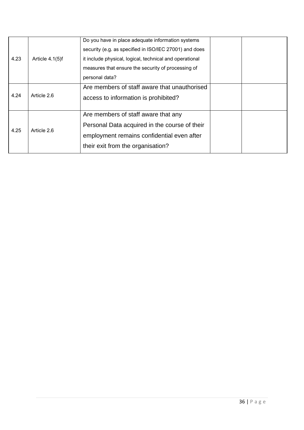| 4.23 | Article 4.1(5)f | Do you have in place adequate information systems<br>security (e.g. as specified in ISO/IEC 27001) and does<br>it include physical, logical, technical and operational<br>measures that ensure the security of processing of |  |
|------|-----------------|------------------------------------------------------------------------------------------------------------------------------------------------------------------------------------------------------------------------------|--|
|      |                 | personal data?                                                                                                                                                                                                               |  |
|      | Article 2.6     | Are members of staff aware that unauthorised                                                                                                                                                                                 |  |
| 4.24 |                 | access to information is prohibited?                                                                                                                                                                                         |  |
|      |                 | Are members of staff aware that any                                                                                                                                                                                          |  |
| 4.25 | Article 2.6     | Personal Data acquired in the course of their                                                                                                                                                                                |  |
|      |                 | employment remains confidential even after                                                                                                                                                                                   |  |
|      |                 | their exit from the organisation?                                                                                                                                                                                            |  |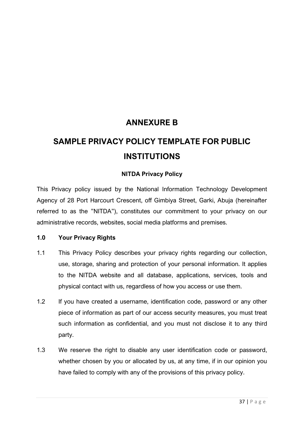# **ANNEXURE B**

# **SAMPLE PRIVACY POLICY TEMPLATE FOR PUBLIC INSTITUTIONS**

# **NITDA Privacy Policy**

This Privacy policy issued by the National Information Technology Development Agency of 28 Port Harcourt Crescent, off Gimbiya Street, Garki, Abuja (hereinafter referred to as the "NITDA"), constitutes our commitment to your privacy on our administrative records, websites, social media platforms and premises.

## **1.0 Your Privacy Rights**

- 1.1 This Privacy Policy describes your privacy rights regarding our collection, use, storage, sharing and protection of your personal information. It applies to the NITDA website and all database, applications, services, tools and physical contact with us, regardless of how you access or use them.
- 1.2 If you have created a username, identification code, password or any other piece of information as part of our access security measures, you must treat such information as confidential, and you must not disclose it to any third party.
- 1.3 We reserve the right to disable any user identification code or password, whether chosen by you or allocated by us, at any time, if in our opinion you have failed to comply with any of the provisions of this privacy policy.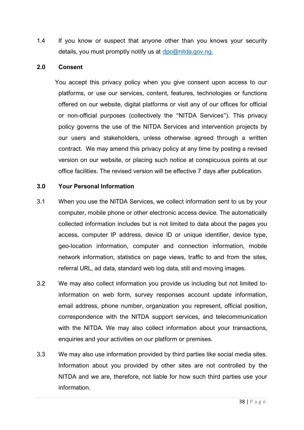1.4 If you know or suspect that anyone other than you knows your security details, you must promptly notify us at [dpo@nitda.gov.ng.](mailto:dpo@nitda.gov.ng)

#### **2.0 Consent**

You accept this privacy policy when you give consent upon access to our platforms, or use our services, content, features, technologies or functions offered on our website, digital platforms or visit any of our offices for official or non-official purposes (collectively the "NITDA Services"). This privacy policy governs the use of the NITDA Services and intervention projects by our users and stakeholders, unless otherwise agreed through a written contract. We may amend this privacy policy at any time by posting a revised version on our website, or placing such notice at conspicuous points at our office facilities. The revised version will be effective 7 days after publication.

#### **3.0 Your Personal Information**

- 3.1 When you use the NITDA Services, we collect information sent to us by your computer, mobile phone or other electronic access device. The automatically collected information includes but is not limited to data about the pages you access, computer IP address, device ID or unique identifier, device type, geo-location information, computer and connection information, mobile network information, statistics on page views, traffic to and from the sites, referral URL, ad data, standard web log data, still and moving images.
- 3.2 We may also collect information you provide us including but not limited toinformation on web form, survey responses account update information, email address, phone number, organization you represent, official position, correspondence with the NITDA support services, and telecommunication with the NITDA. We may also collect information about your transactions, enquiries and your activities on our platform or premises.
- 3.3 We may also use information provided by third parties like social media sites. Information about you provided by other sites are not controlled by the NITDA and we are, therefore, not liable for how such third parties use your information.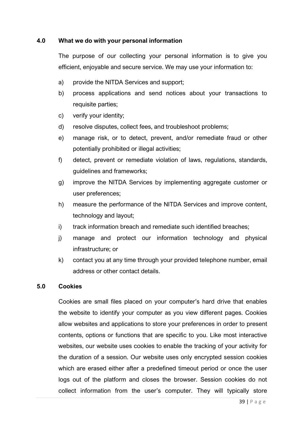### **4.0 What we do with your personal information**

The purpose of our collecting your personal information is to give you efficient, enjoyable and secure service. We may use your information to:

- a) provide the NITDA Services and support;
- b) process applications and send notices about your transactions to requisite parties;
- c) verify your identity;
- d) resolve disputes, collect fees, and troubleshoot problems;
- e) manage risk, or to detect, prevent, and/or remediate fraud or other potentially prohibited or illegal activities;
- f) detect, prevent or remediate violation of laws, regulations, standards, guidelines and frameworks;
- g) improve the NITDA Services by implementing aggregate customer or user preferences;
- h) measure the performance of the NITDA Services and improve content, technology and layout;
- i) track information breach and remediate such identified breaches;
- j) manage and protect our information technology and physical infrastructure; or
- k) contact you at any time through your provided telephone number, email address or other contact details.

#### **5.0 Cookies**

Cookies are small files placed on your computer's hard drive that enables the website to identify your computer as you view different pages. Cookies allow websites and applications to store your preferences in order to present contents, options or functions that are specific to you. Like most interactive websites, our website uses cookies to enable the tracking of your activity for the duration of a session. Our website uses only encrypted session cookies which are erased either after a predefined timeout period or once the user logs out of the platform and closes the browser. Session cookies do not collect information from the user's computer. They will typically store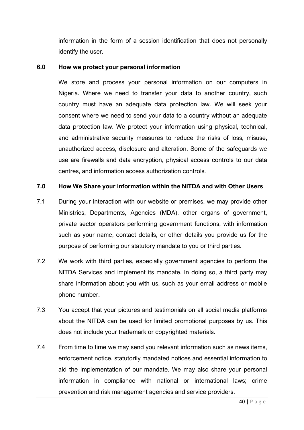information in the form of a session identification that does not personally identify the user.

## **6.0 How we protect your personal information**

We store and process your personal information on our computers in Nigeria. Where we need to transfer your data to another country, such country must have an adequate data protection law. We will seek your consent where we need to send your data to a country without an adequate data protection law. We protect your information using physical, technical, and administrative security measures to reduce the risks of loss, misuse, unauthorized access, disclosure and alteration. Some of the safeguards we use are firewalls and data encryption, physical access controls to our data centres, and information access authorization controls.

## **7.0 How We Share your information within the NITDA and with Other Users**

- 7.1 During your interaction with our website or premises, we may provide other Ministries, Departments, Agencies (MDA), other organs of government, private sector operators performing government functions, with information such as your name, contact details, or other details you provide us for the purpose of performing our statutory mandate to you or third parties.
- 7.2 We work with third parties, especially government agencies to perform the NITDA Services and implement its mandate. In doing so, a third party may share information about you with us, such as your email address or mobile phone number.
- 7.3 You accept that your pictures and testimonials on all social media platforms about the NITDA can be used for limited promotional purposes by us. This does not include your trademark or copyrighted materials.
- 7.4 From time to time we may send you relevant information such as news items, enforcement notice, statutorily mandated notices and essential information to aid the implementation of our mandate. We may also share your personal information in compliance with national or international laws; crime prevention and risk management agencies and service providers.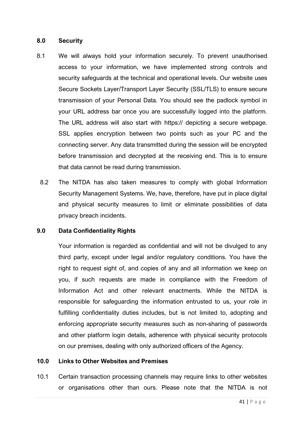#### **8.0 Security**

- 8.1 We will always hold your information securely. To prevent unauthorised access to your information, we have implemented strong controls and security safeguards at the technical and operational levels. Our website uses Secure Sockets Layer/Transport Layer Security (SSL/TLS) to ensure secure transmission of your Personal Data. You should see the padlock symbol in your URL address bar once you are successfully logged into the platform. The URL address will also start with https:// depicting a secure webpage. SSL applies encryption between two points such as your PC and the connecting server. Any data transmitted during the session will be encrypted before transmission and decrypted at the receiving end. This is to ensure that data cannot be read during transmission.
	- 8.2 The NITDA has also taken measures to comply with global Information Security Management Systems. We, have, therefore, have put in place digital and physical security measures to limit or eliminate possibilities of data privacy breach incidents.

#### **9.0 Data Confidentiality Rights**

Your information is regarded as confidential and will not be divulged to any third party, except under legal and/or regulatory conditions. You have the right to request sight of, and copies of any and all information we keep on you, if such requests are made in compliance with the Freedom of Information Act and other relevant enactments. While the NITDA is responsible for safeguarding the information entrusted to us, your role in fulfilling confidentiality duties includes, but is not limited to, adopting and enforcing appropriate security measures such as non-sharing of passwords and other platform login details, adherence with physical security protocols on our premises, dealing with only authorized officers of the Agency.

#### **10.0 Links to Other Websites and Premises**

10.1 Certain transaction processing channels may require links to other websites or organisations other than ours. Please note that the NITDA is not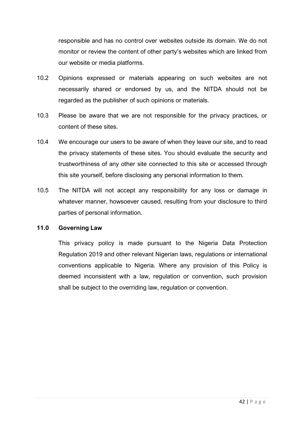responsible and has no control over websites outside its domain. We do not monitor or review the content of other party's websites which are linked from our website or media platforms.

- 10.2 Opinions expressed or materials appearing on such websites are not necessarily shared or endorsed by us, and the NITDA should not be regarded as the publisher of such opinions or materials.
- 10.3 Please be aware that we are not responsible for the privacy practices, or content of these sites.
- 10.4 We encourage our users to be aware of when they leave our site, and to read the privacy statements of these sites. You should evaluate the security and trustworthiness of any other site connected to this site or accessed through this site yourself, before disclosing any personal information to them.
- 10.5 The NITDA will not accept any responsibility for any loss or damage in whatever manner, howsoever caused, resulting from your disclosure to third parties of personal information.

### **11.0 Governing Law**

This privacy policy is made pursuant to the Nigeria Data Protection Regulation 2019 and other relevant Nigerian laws, regulations or international conventions applicable to Nigeria. Where any provision of this Policy is deemed inconsistent with a law, regulation or convention, such provision shall be subject to the overriding law, regulation or convention.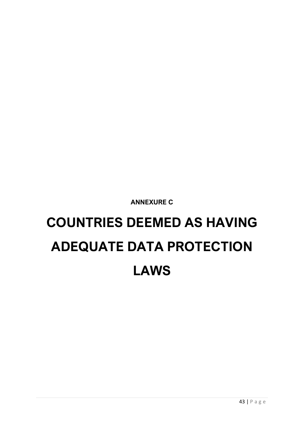**ANNEXURE C**

# **COUNTRIES DEEMED AS HAVING ADEQUATE DATA PROTECTION LAWS**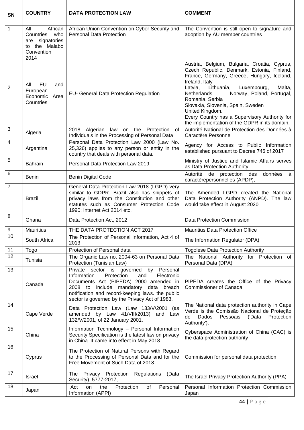| SN             | <b>COUNTRY</b>                                                                               | <b>DATA PROTECTION LAW</b>                                                                                                                                                                                                                                                        | <b>COMMENT</b>                                                                                                                                                                                                                                                                                                                                                                                                                        |
|----------------|----------------------------------------------------------------------------------------------|-----------------------------------------------------------------------------------------------------------------------------------------------------------------------------------------------------------------------------------------------------------------------------------|---------------------------------------------------------------------------------------------------------------------------------------------------------------------------------------------------------------------------------------------------------------------------------------------------------------------------------------------------------------------------------------------------------------------------------------|
| $\mathbf{1}$   | All<br>African<br>Countries<br>who<br>are signatories<br>to the Malabo<br>Convention<br>2014 | African Union Convention on Cyber Security and<br><b>Personal Data Protection</b>                                                                                                                                                                                                 | The Convention is still open to signature and<br>adoption by AU member countries                                                                                                                                                                                                                                                                                                                                                      |
| 2              | All<br>EU<br>and<br>European<br>Economic<br>Area<br>Countries                                | EU- General Data Protection Regulation                                                                                                                                                                                                                                            | Austria, Belgium, Bulgaria, Croatia, Cyprus,<br>Czech Republic, Denmark, Estonia, Finland,<br>France, Germany, Greece, Hungary, Iceland,<br>Ireland, Italy<br>Lithuania,<br>Luxembourg,<br>Malta,<br>Latvia,<br>Norway, Poland, Portugal,<br>Netherlands<br>Romania, Serbia<br>Slovakia, Slovenia, Spain, Sweden<br>United Kingdom.<br>Every Country has a Supervisory Authority for<br>the implementation of the GDPR in its domain. |
| 3              | Algeria                                                                                      | 2018 Algerian law on the Protection of<br>Individuals in the Processing of Personal Data                                                                                                                                                                                          | Autorité National de Protection des Données à<br>Caractère Personnel                                                                                                                                                                                                                                                                                                                                                                  |
| $\overline{4}$ | Argentina                                                                                    | Personal Data Protection Law 2000 (Law No.<br>25,326) applies to any person or entity in the<br>country that deals with personal data.                                                                                                                                            | Agency for Access to Public Information<br>established pursuant to Decree 746 of 2017                                                                                                                                                                                                                                                                                                                                                 |
| 5              | <b>Bahrain</b>                                                                               | Personal Data Protection Law 2019                                                                                                                                                                                                                                                 | Ministry of Justice and Islamic Affairs serves<br>as Data Protection Authority                                                                                                                                                                                                                                                                                                                                                        |
| 6              | <b>Benin</b>                                                                                 | <b>Benin Digital Code</b>                                                                                                                                                                                                                                                         | Autorité de protection des données à<br>caractèrepersonnelles (APDP),                                                                                                                                                                                                                                                                                                                                                                 |
| $\overline{7}$ | <b>Brazil</b>                                                                                | General Data Protection Law 2018 (LGPD) very<br>similar to GDPR. Brazil also has snippets of<br>privacy laws from the Constitution and other<br>statutes such as Consumer Protection Code<br>1990; Internet Act 2014 etc.                                                         | The Amended LGPD created the National<br>Data Protection Authority (ANPD). The law<br>would take effect in August 2020                                                                                                                                                                                                                                                                                                                |
| 8              | Ghana                                                                                        | Data Protection Act, 2012                                                                                                                                                                                                                                                         | Data Protection Commission                                                                                                                                                                                                                                                                                                                                                                                                            |
| 9              | Mauritius                                                                                    | THE DATA PROTECTION ACT 2017                                                                                                                                                                                                                                                      | Mauritius Data Protection Office                                                                                                                                                                                                                                                                                                                                                                                                      |
| 10             | South Africa                                                                                 | The Protection of Personal Information, Act 4 of<br>2013                                                                                                                                                                                                                          | The Information Regulator (DPA)                                                                                                                                                                                                                                                                                                                                                                                                       |
| 11             | Togo                                                                                         | Protection of Personal data                                                                                                                                                                                                                                                       | <b>Togolese Data Protection Authority</b>                                                                                                                                                                                                                                                                                                                                                                                             |
| 12             | Tunisia                                                                                      | The Organic Law no. 2004-63 on Personal Data<br>Protection (Tunisian Law)                                                                                                                                                                                                         | The National Authority for Protection of<br>Personal Data (DPA)                                                                                                                                                                                                                                                                                                                                                                       |
| 13             | Canada                                                                                       | Private sector is governed by Personal<br>Information<br>Protection<br>Electronic<br>and<br>Documents Act (PIPEDA) 2000 amended in<br>2008 to include mandatory data breach<br>notification and record-keeping laws. the public<br>sector is governed by the Privacy Act of 1983. | PIPEDA creates the Office of the Privacy<br><b>Commissioner of Canada</b>                                                                                                                                                                                                                                                                                                                                                             |
| 14             | Cape Verde                                                                                   | Data Protection Law (Law 133/V/2001 (as<br>amended by Law 41/VIII/2013) and Law<br>132/V/2001, of 22 January 2001.                                                                                                                                                                | The National data protection authority in Cape<br>Verde is the Comissão Nacional de Proteção<br>Dados<br>Pessoais<br>Protection<br>('Data<br>de<br>Authority').                                                                                                                                                                                                                                                                       |
| 15             | China                                                                                        | Information Technology - Personal Information<br>Security Specification is the latest law on privacy<br>in China. It came into effect in May 2018                                                                                                                                 | Cyberspace Administration of China (CAC) is<br>the data protection authority                                                                                                                                                                                                                                                                                                                                                          |
| 16             | Cyprus                                                                                       | The Protection of Natural Persons with Regard<br>to the Processing of Personal Data and for the<br>Free Movement of Such Data of 2018.                                                                                                                                            | Commission for personal data protection                                                                                                                                                                                                                                                                                                                                                                                               |
| 17             | <b>Israel</b>                                                                                | The Privacy Protection Regulations<br>(Data<br>Security), 5777-2017,                                                                                                                                                                                                              | The Israel Privacy Protection Authority (PPA)                                                                                                                                                                                                                                                                                                                                                                                         |
| 18             | Japan                                                                                        | Protection<br>of<br>Personal<br>Act<br>on<br>the<br>Information (APPI)                                                                                                                                                                                                            | Personal Information Protection Commission<br>Japan                                                                                                                                                                                                                                                                                                                                                                                   |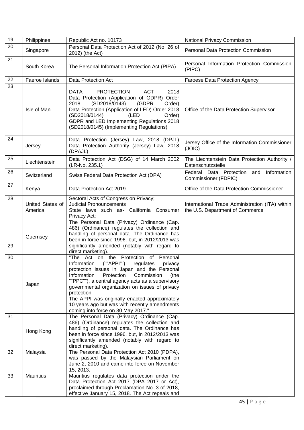| 19 | Philippines                 | Republic Act no. 10173                                                                                                                                                                                                                                                                                                                                                                                                                                        | National Privacy Commission                                                        |
|----|-----------------------------|---------------------------------------------------------------------------------------------------------------------------------------------------------------------------------------------------------------------------------------------------------------------------------------------------------------------------------------------------------------------------------------------------------------------------------------------------------------|------------------------------------------------------------------------------------|
| 20 | Singapore                   | Personal Data Protection Act of 2012 (No. 26 of<br>2012) (the Act)                                                                                                                                                                                                                                                                                                                                                                                            | <b>Personal Data Protection Commission</b>                                         |
| 21 | South Korea                 | The Personal Information Protection Act (PIPA)                                                                                                                                                                                                                                                                                                                                                                                                                | Personal Information Protection Commission<br>(PIPC)                               |
| 22 | Faeroe Islands              | Data Protection Act                                                                                                                                                                                                                                                                                                                                                                                                                                           | <b>Faroese Data Protection Agency</b>                                              |
| 23 | Isle of Man                 | <b>PROTECTION</b><br><b>DATA</b><br><b>ACT</b><br>2018<br>Data Protection (Application of GDPR) Order<br>(SD2018/0143)<br>(GDPR<br>2018<br>Order)<br>Data Protection (Application of LED) Order 2018<br>(SD2018/0144)<br>(LED<br>Order)<br>GDPR and LED Implementing Regulations 2018<br>(SD2018/0145) (Implementing Regulations)                                                                                                                             | Office of the Data Protection Supervisor                                           |
| 24 | Jersey                      | Data Protection (Jersey) Law, 2018 (DPJL)<br>Data Protection Authority (Jersey) Law, 2018<br>(DPAJL)                                                                                                                                                                                                                                                                                                                                                          | Jersey Office of the Information Commissioner<br>(JOIC)                            |
| 25 | Liechtenstein               | Data Protection Act (DSG) of 14 March 2002<br>(LR-No. 235.1)                                                                                                                                                                                                                                                                                                                                                                                                  | The Liechtenstein Data Protection Authority /<br>Datenschutzstelle                 |
| 26 | Switzerland                 | Swiss Federal Data Protection Act (DPA)                                                                                                                                                                                                                                                                                                                                                                                                                       | Information<br>Federal Data Protection<br>and<br>Commissioner (FDPIC)              |
| 27 | Kenya                       | Data Protection Act 2019                                                                                                                                                                                                                                                                                                                                                                                                                                      | Office of the Data Protection Commissioner                                         |
| 28 | United States of<br>America | Sectoral Acts of Congress on Privacy;<br><b>Judicial Pronouncements</b><br>State laws such as- California Consumer<br>Privacy Act;                                                                                                                                                                                                                                                                                                                            | International Trade Administration (ITA) within<br>the U.S. Department of Commerce |
| 29 | Guernsey                    | The Personal Data (Privacy) Ordinance (Cap.<br>486) (Ordinance) regulates the collection and<br>handling of personal data. The Ordinance has<br>been in force since 1996, but, in 2012/2013 was<br>significantly amended (notably with regard to<br>direct marketing).                                                                                                                                                                                        |                                                                                    |
| 30 | Japan                       | "The Act on the Protection of<br>Personal<br>(""APPI"")<br>Information<br>regulates<br>privacy<br>protection issues in Japan and the Personal<br>Information<br>Protection<br>Commission<br>(the<br>""PPC""), a central agency acts as a supervisory<br>governmental organization on issues of privacy<br>protection.<br>The APPI was originally enacted approximately<br>10 years ago but was with recently amendments<br>coming into force on 30 May 2017." |                                                                                    |
| 31 | Hong Kong                   | The Personal Data (Privacy) Ordinance (Cap.<br>486) (Ordinance) regulates the collection and<br>handling of personal data. The Ordinance has<br>been in force since 1996, but, in 2012/2013 was<br>significantly amended (notably with regard to<br>direct marketing).                                                                                                                                                                                        |                                                                                    |
| 32 | Malaysia                    | The Personal Data Protection Act 2010 (PDPA),<br>was passed by the Malaysian Parliament on<br>June 2, 2010 and came into force on November<br>15, 2013.                                                                                                                                                                                                                                                                                                       |                                                                                    |
| 33 | <b>Mauritius</b>            | Mauritius regulates data protection under the<br>Data Protection Act 2017 (DPA 2017 or Act),<br>proclaimed through Proclamation No. 3 of 2018,<br>effective January 15, 2018. The Act repeals and                                                                                                                                                                                                                                                             |                                                                                    |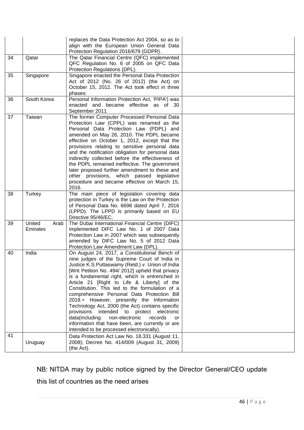|    |                            | replaces the Data Protection Act 2004, so as to<br>align with the European Union General Data<br>Protection Regulation 2016/679 (GDPR).                                                                                                                                                                                                                                                                                                                                                                                                                                                                                                                                                                       |  |
|----|----------------------------|---------------------------------------------------------------------------------------------------------------------------------------------------------------------------------------------------------------------------------------------------------------------------------------------------------------------------------------------------------------------------------------------------------------------------------------------------------------------------------------------------------------------------------------------------------------------------------------------------------------------------------------------------------------------------------------------------------------|--|
| 34 | Qatar                      | The Qatar Financial Centre (QFC) implemented<br>QFC Regulation No. 6 of 2005 on QFC Data<br>Protection Regulations (DPL).                                                                                                                                                                                                                                                                                                                                                                                                                                                                                                                                                                                     |  |
| 35 | Singapore                  | Singapore enacted the Personal Data Protection<br>Act of 2012 (No. 26 of 2012) (the Act) on<br>October 15, 2012. The Act took effect in three<br>phases:                                                                                                                                                                                                                                                                                                                                                                                                                                                                                                                                                      |  |
| 36 | South Korea                | Personal Information Protection Act, 'PIPA') was<br>enacted and became effective as of 30<br>September 2011                                                                                                                                                                                                                                                                                                                                                                                                                                                                                                                                                                                                   |  |
| 37 | Taiwan                     | The former Computer Processed Personal Data<br>Protection Law (CPPL) was renamed as the<br>Personal Data Protection Law (PDPL) and<br>amended on May 26, 2010. The PDPL became<br>effective on October 1, 2012, except that the<br>provisions relating to sensitive personal data<br>and the notification obligation for personal data<br>indirectly collected before the effectiveness of<br>the PDPL remained ineffective. The government<br>later proposed further amendment to these and<br>other provisions, which passed legislative<br>procedure and became effective on March 15,<br>2016.                                                                                                            |  |
| 38 | Turkey                     | The main piece of legislation covering data<br>protection in Turkey is the Law on the Protection<br>of Personal Data No. 6698 dated April 7, 2016<br>(LPPD). The LPPD is primarily based on EU<br>Directive 95/46/EC.                                                                                                                                                                                                                                                                                                                                                                                                                                                                                         |  |
| 39 | United<br>Arab<br>Emirates | The Dubai International Financial Centre (DIFC)<br>implemented DIFC Law No. 1 of 2007 Data<br>Protection Law in 2007 which was subsequently<br>amended by DIFC Law No. 5 of 2012 Data<br>Protection Law Amendment Law (DPL).                                                                                                                                                                                                                                                                                                                                                                                                                                                                                  |  |
| 40 | India                      | On August 24, 2017, a Constitutional Bench of<br>nine judges of the Supreme Court of India in<br>Justice K.S. Puttaswamy (Retd.) v. Union of India<br>[Writ Petition No. 494/ 2012] upheld that privacy<br>is a fundamental right, which is entrenched in<br>Article 21 [Right to Life & Liberty] of the<br>Constitution. This led to the formulation of a<br>comprehensive Personal Data Protection Bill<br>2018.+ However, presently the Information<br>Technology Act, 2000 (the Act) contains specific<br>provisions intended to protect electronic<br>data(including<br>non-electronic<br>records<br>or<br>information that have been, are currently or are<br>intended to be processed electronically). |  |
| 41 | Uruguay                    | Data Protection Act Law No. 18.331 (August 11,<br>2008); Decree No. 414/009 (August 31, 2009)<br>(the Act).                                                                                                                                                                                                                                                                                                                                                                                                                                                                                                                                                                                                   |  |

NB: NITDA may by public notice signed by the Director General/CEO update this list of countries as the need arises